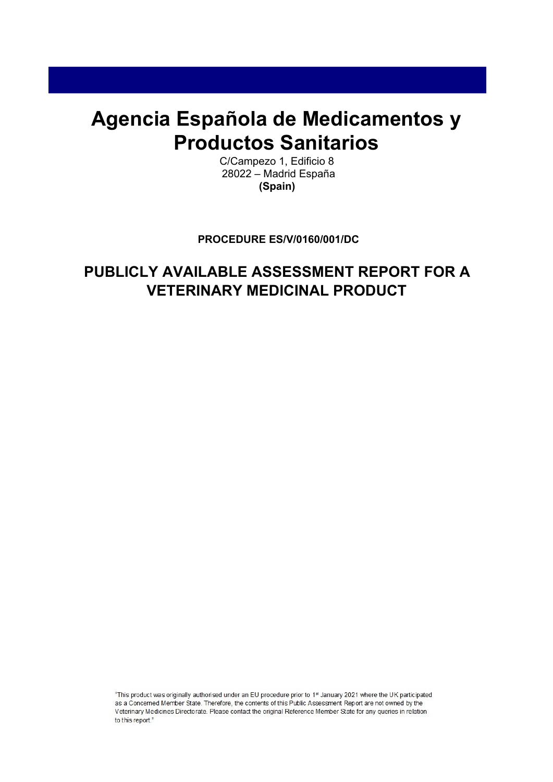# **Agencia Española de Medicamentos y Productos Sanitarios**

C/Campezo 1, Edificio 8 28022 – Madrid España **(Spain)** 

## **PROCEDURE ES/V/0160/001/DC**

## **PUBLICLY AVAILABLE ASSESSMENT REPORT FOR A VETERINARY MEDICINAL PRODUCT**

"This product was originally authorised under an EU procedure prior to 1<sup>st</sup> January 2021 where the UK participated as a Concerned Member State. Therefore, the contents of this Public Assessment Report are not owned by the Veterinary Medicines Directorate. Please contact the original Reference Member State for any queries in relation to this report."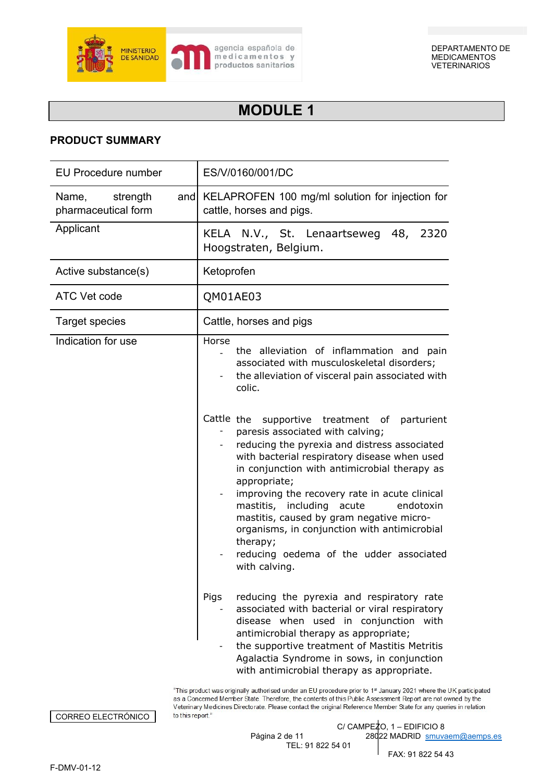

## **MODULE 1**

## **PRODUCT SUMMARY**

| <b>EU Procedure number</b>                      | ES/V/0160/001/DC                                                                                                                                                                                                                                                                                                                                                                                                                                                                                                                                                                                                                                                                     |
|-------------------------------------------------|--------------------------------------------------------------------------------------------------------------------------------------------------------------------------------------------------------------------------------------------------------------------------------------------------------------------------------------------------------------------------------------------------------------------------------------------------------------------------------------------------------------------------------------------------------------------------------------------------------------------------------------------------------------------------------------|
| Name,<br>strength<br>and<br>pharmaceutical form | KELAPROFEN 100 mg/ml solution for injection for<br>cattle, horses and pigs.                                                                                                                                                                                                                                                                                                                                                                                                                                                                                                                                                                                                          |
| Applicant                                       | KELA N.V., St. Lenaartseweg 48, 2320<br>Hoogstraten, Belgium.                                                                                                                                                                                                                                                                                                                                                                                                                                                                                                                                                                                                                        |
| Active substance(s)                             | Ketoprofen                                                                                                                                                                                                                                                                                                                                                                                                                                                                                                                                                                                                                                                                           |
| ATC Vet code                                    | QM01AE03                                                                                                                                                                                                                                                                                                                                                                                                                                                                                                                                                                                                                                                                             |
| <b>Target species</b>                           | Cattle, horses and pigs                                                                                                                                                                                                                                                                                                                                                                                                                                                                                                                                                                                                                                                              |
| Indication for use                              | Horse<br>the alleviation of inflammation and pain<br>associated with musculoskeletal disorders;<br>the alleviation of visceral pain associated with<br>colic.<br>Cattle the<br>supportive treatment of parturient<br>paresis associated with calving;<br>reducing the pyrexia and distress associated<br>with bacterial respiratory disease when used<br>in conjunction with antimicrobial therapy as<br>appropriate;<br>improving the recovery rate in acute clinical<br>mastitis, including acute<br>endotoxin<br>mastitis, caused by gram negative micro-<br>organisms, in conjunction with antimicrobial<br>therapy;<br>reducing oedema of the udder associated<br>with calving. |
|                                                 | Pigs<br>reducing the pyrexia and respiratory rate<br>associated with bacterial or viral respiratory<br>disease when used in conjunction with<br>antimicrobial therapy as appropriate;<br>the supportive treatment of Mastitis Metritis<br>Agalactia Syndrome in sows, in conjunction<br>with antimicrobial therapy as appropriate.                                                                                                                                                                                                                                                                                                                                                   |

"This product was originally authorised under an EU procedure prior to 1st January 2021 where the UK participated as a Concerned Member State. Therefore, the contents of this Public Assessment Report are not owned by the Veterinary Medicines Directorate. Please contact the original Reference Member State for any queries in relation to this report."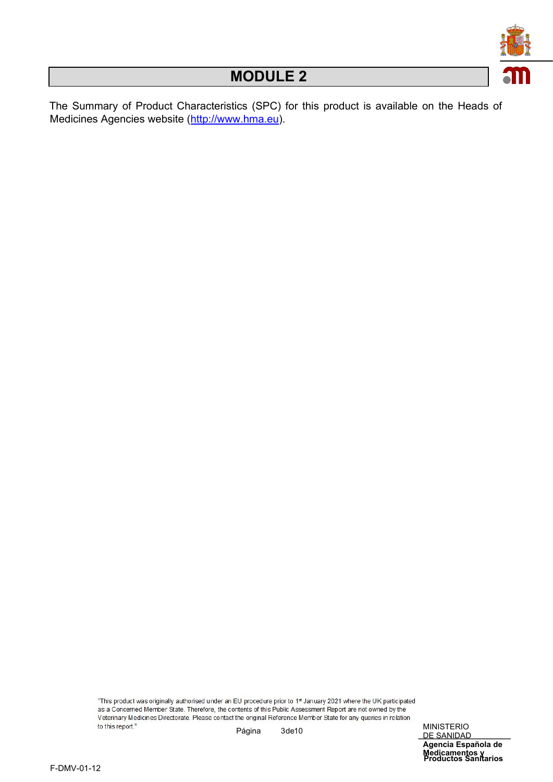

The Summary of Product Characteristics (SPC) for this product is available on the Heads of Medicines Agencies website [\(http://www.hma.eu\)](http://www.hma.eu/).

> "This product was originally authorised under an EU procedure prior to 1st January 2021 where the UK participated as a Concerned Member State. Therefore, the contents of this Public Assessment Report are not owned by the Veterinary Medicines Directorate. Please contact the original Reference Member State for any queries in relation to this report." Página 3de 10 MINISTERIO

**Productos Sanitarios Medicamentos y** DE SANIDAD **Agencia Española de**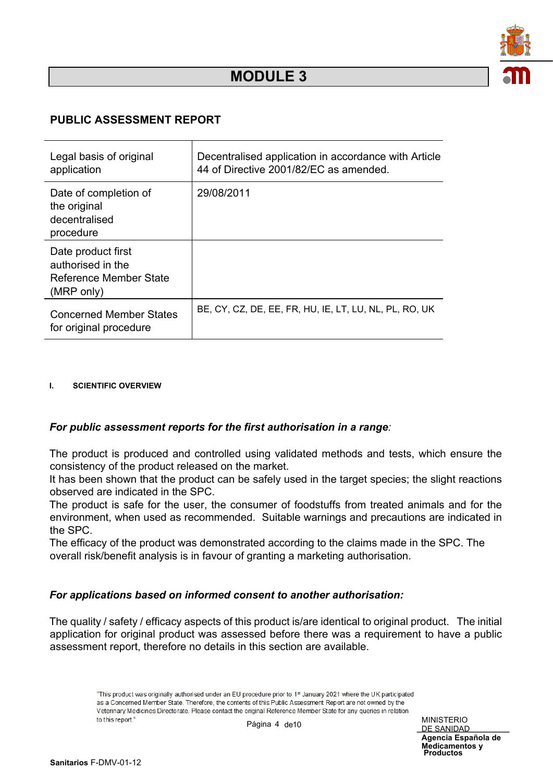

## **PUBLIC ASSESSMENT REPORT**

| Legal basis of original<br>application                                          | Decentralised application in accordance with Article<br>44 of Directive 2001/82/EC as amended. |
|---------------------------------------------------------------------------------|------------------------------------------------------------------------------------------------|
| Date of completion of<br>the original<br>decentralised<br>procedure             | 29/08/2011                                                                                     |
| Date product first<br>authorised in the<br>Reference Member State<br>(MRP only) |                                                                                                |
| <b>Concerned Member States</b><br>for original procedure                        | BE, CY, CZ, DE, EE, FR, HU, IE, LT, LU, NL, PL, RO, UK                                         |

#### **I. SCIENTIFIC OVERVIEW**

#### *For public assessment reports for the first authorisation in a range:*

The product is produced and controlled using validated methods and tests, which ensure the consistency of the product released on the market.

It has been shown that the product can be safely used in the target species; the slight reactions observed are indicated in the SPC.

The product is safe for the user, the consumer of foodstuffs from treated animals and for the environment, when used as recommended. Suitable warnings and precautions are indicated in the SPC.

The efficacy of the product was demonstrated according to the claims made in the SPC. The overall risk/benefit analysis is in favour of granting a marketing authorisation.

## *For applications based on informed consent to another authorisation:*

The quality / safety / efficacy aspects of this product is/are identical to original product. The initial application for original product was assessed before there was a requirement to have a public assessment report, therefore no details in this section are available.

> "This product was originally authorised under an EU procedure prior to 1st January 2021 where the UK participated as a Concerned Member State. Therefore, the contents of this Public Assessment Report are not owned by the Veterinary Medicines Directorate. Please contact the original Reference Member State for any queries in relation to this report." Página 4 de 10 MINISTERIO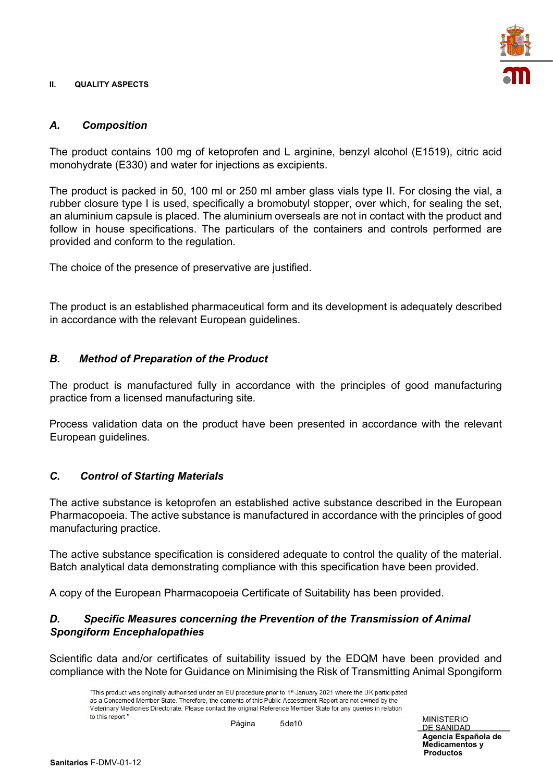#### **II. QUALITY ASPECTS**



## *A. Composition*

The product contains 100 mg of ketoprofen and L arginine, benzyl alcohol (E1519), citric acid monohydrate (E330) and water for injections as excipients.

The product is packed in 50, 100 ml or 250 ml amber glass vials type II. For closing the vial, a rubber closure type I is used, specifically a bromobutyl stopper, over which, for sealing the set, an aluminium capsule is placed. The aluminium overseals are not in contact with the product and follow in house specifications. The particulars of the containers and controls performed are provided and conform to the regulation.

The choice of the presence of preservative are justified.

The product is an established pharmaceutical form and its development is adequately described in accordance with the relevant European guidelines.

## *B. Method of Preparation of the Product*

The product is manufactured fully in accordance with the principles of good manufacturing practice from a licensed manufacturing site*.* 

Process validation data on the product have been presented in accordance with the relevant European guidelines*.* 

## *C. Control of Starting Materials*

The active substance is ketoprofen an established active substance described in the European Pharmacopoeia. The active substance is manufactured in accordance with the principles of good manufacturing practice.

The active substance specification is considered adequate to control the quality of the material. Batch analytical data demonstrating compliance with this specification have been provided.

A copy of the European Pharmacopoeia Certificate of Suitability has been provided.

## *D. Specific Measures concerning the Prevention of the Transmission of Animal Spongiform Encephalopathies*

Scientific data and/or certificates of suitability issued by the EDQM have been provided and compliance with the Note for Guidance on Minimising the Risk of Transmitting Animal Spongiform

"This product was originally authorised under an EU procedure prior to 1st January 2021 where the UK participated as a Concerned Member State. Therefore, the contents of this Public Assessment Report are not owned by the Veterinary Medicines Directorate. Please contact the original Reference Member State for any queries in relation to this report." Página 5 de 10 MINISTERIO

DE SANIDAD

**Productos Agencia Española de Medicamentos y**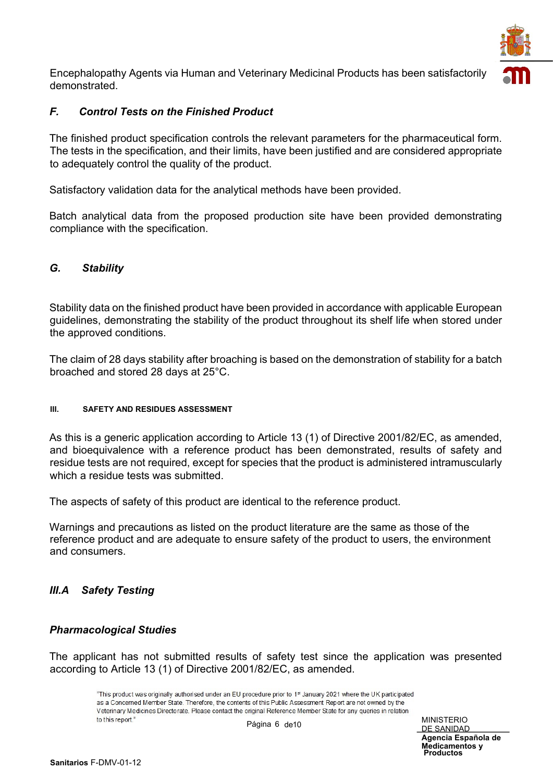

Encephalopathy Agents via Human and Veterinary Medicinal Products has been satisfactorily demonstrated.

## *F. Control Tests on the Finished Product*

The finished product specification controls the relevant parameters for the pharmaceutical form. The tests in the specification, and their limits, have been justified and are considered appropriate to adequately control the quality of the product.

Satisfactory validation data for the analytical methods have been provided.

Batch analytical data from the proposed production site have been provided demonstrating compliance with the specification.

## *G. Stability*

Stability data on the finished product have been provided in accordance with applicable European guidelines, demonstrating the stability of the product throughout its shelf life when stored under the approved conditions.

The claim of 28 days stability after broaching is based on the demonstration of stability for a batch broached and stored 28 days at 25°C.

#### **III. SAFETY AND RESIDUES ASSESSMENT**

As this is a generic application according to Article 13 (1) of Directive 2001/82/EC, as amended, and bioequivalence with a reference product has been demonstrated, results of safety and residue tests are not required, except for species that the product is administered intramuscularly which a residue tests was submitted.

The aspects of safety of this product are identical to the reference product.

Warnings and precautions as listed on the product literature are the same as those of the reference product and are adequate to ensure safety of the product to users, the environment and consumers.

## *III.A Safety Testing*

#### *Pharmacological Studies*

The applicant has not submitted results of safety test since the application was presented according to Article 13 (1) of Directive 2001/82/EC, as amended.

> "This product was originally authorised under an EU procedure prior to 1st January 2021 where the UK participated as a Concerned Member State. Therefore, the contents of this Public Assessment Report are not owned by the Veterinary Medicines Directorate. Please contact the original Reference Member State for any queries in relation to this report." Página 6 de 10 MINISTERIO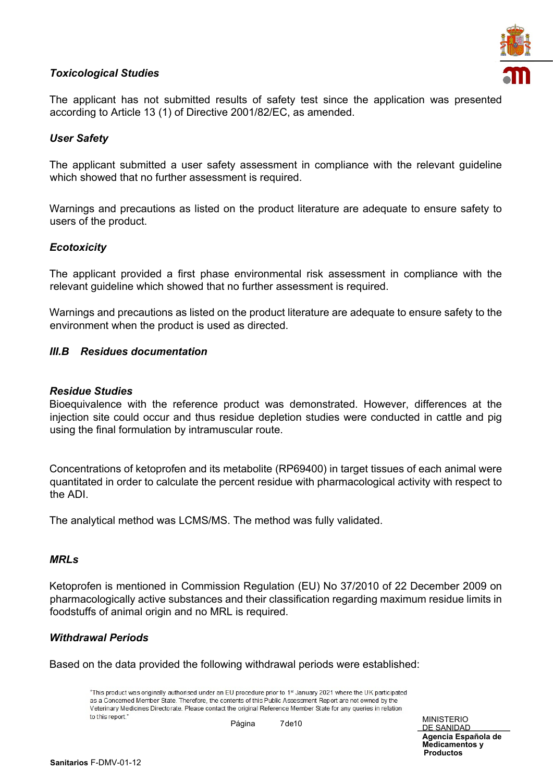## *Toxicological Studies*



The applicant has not submitted results of safety test since the application was presented according to Article 13 (1) of Directive 2001/82/EC, as amended.

## *User Safety*

The applicant submitted a user safety assessment in compliance with the relevant guideline which showed that no further assessment is required.

Warnings and precautions as listed on the product literature are adequate to ensure safety to users of the product.

## *Ecotoxicity*

The applicant provided a first phase environmental risk assessment in compliance with the relevant guideline which showed that no further assessment is required.

Warnings and precautions as listed on the product literature are adequate to ensure safety to the environment when the product is used as directed.

## *III.B Residues documentation*

#### *Residue Studies*

Bioequivalence with the reference product was demonstrated. However, differences at the injection site could occur and thus residue depletion studies were conducted in cattle and pig using the final formulation by intramuscular route.

Concentrations of ketoprofen and its metabolite (RP69400) in target tissues of each animal were quantitated in order to calculate the percent residue with pharmacological activity with respect to the ADI.

The analytical method was LCMS/MS. The method was fully validated.

#### *MRLs*

Ketoprofen is mentioned in Commission Regulation (EU) No 37/2010 of 22 December 2009 on pharmacologically active substances and their classification regarding maximum residue limits in foodstuffs of animal origin and no MRL is required.

#### *Withdrawal Periods*

Based on the data provided the following withdrawal periods were established:

"This product was originally authorised under an EU procedure prior to 1st January 2021 where the UK participated as a Concerned Member State. Therefore, the contents of this Public Assessment Report are not owned by the Veterinary Medicines Directorate. Please contact the original Reference Member State for any queries in relation to this report." Página 7 de 10 MINISTERIO

DE SANIDAD

**Productos Agencia Española de Medicamentos y**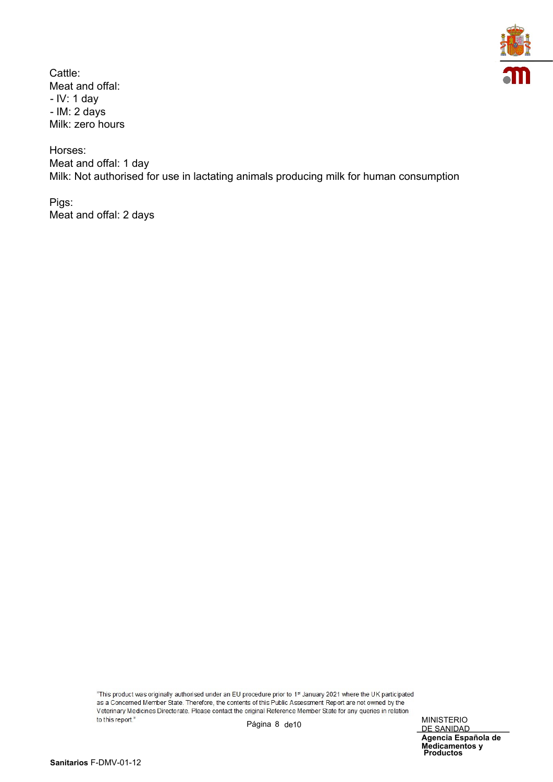

Cattle: Meat and offal: - IV: 1 day - IM: 2 days Milk: zero hours

Horses: Meat and offal: 1 day Milk: Not authorised for use in lactating animals producing milk for human consumption

Pigs: Meat and offal: 2 days

> "This product was originally authorised under an EU procedure prior to 1st January 2021 where the UK participated as a Concerned Member State. Therefore, the contents of this Public Assessment Report are not owned by the Veterinary Medicines Directorate. Please contact the original Reference Member State for any queries in relation to this report." Página 8 de 10 MINISTERIO

**Productos Medicamentos y** DE SANIDAD **Agencia Española de**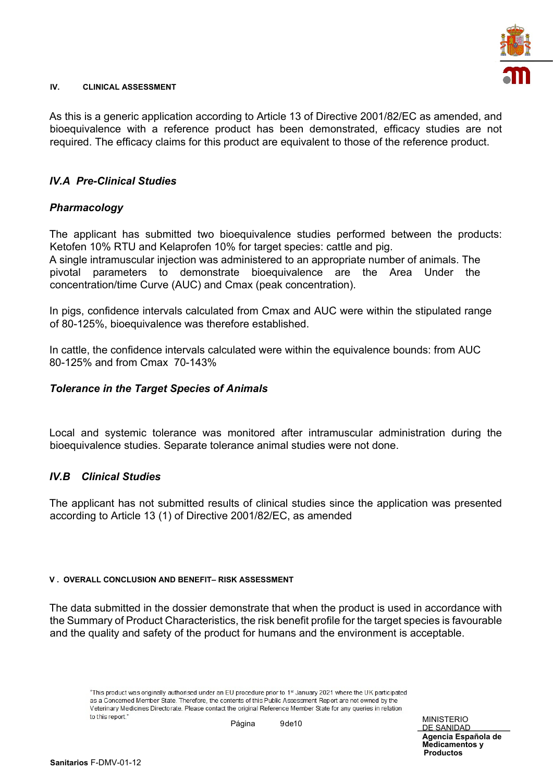

#### **IV. CLINICAL ASSESSMENT**

As this is a generic application according to Article 13 of Directive 2001/82/EC as amended, and bioequivalence with a reference product has been demonstrated, efficacy studies are not required. The efficacy claims for this product are equivalent to those of the reference product.

#### *IV.A Pre-Clinical Studies*

## *Pharmacology*

The applicant has submitted two bioequivalence studies performed between the products: Ketofen 10% RTU and Kelaprofen 10% for target species: cattle and pig. A single intramuscular injection was administered to an appropriate number of animals. The pivotal parameters to demonstrate bioequivalence are the Area Under the

In pigs, confidence intervals calculated from Cmax and AUC were within the stipulated range of 80-125%, bioequivalence was therefore established.

In cattle, the confidence intervals calculated were within the equivalence bounds: from AUC 80-125% and from Cmax 70-143%

#### *Tolerance in the Target Species of Animals*

concentration/time Curve (AUC) and Cmax (peak concentration).

Local and systemic tolerance was monitored after intramuscular administration during the bioequivalence studies. Separate tolerance animal studies were not done.

#### *IV.B Clinical Studies*

The applicant has not submitted results of clinical studies since the application was presented according to Article 13 (1) of Directive 2001/82/EC, as amended

#### **V . OVERALL CONCLUSION AND BENEFIT– RISK ASSESSMENT**

The data submitted in the dossier demonstrate that when the product is used in accordance with the Summary of Product Characteristics, the risk benefit profile for the target species is favourable and the quality and safety of the product for humans and the environment is acceptable.

"This product was originally authorised under an EU procedure prior to 1st January 2021 where the UK participated as a Concerned Member State. Therefore, the contents of this Public Assessment Report are not owned by the Veterinary Medicines Directorate. Please contact the original Reference Member State for any queries in relation to this report." Página 9 de 10 MINISTERIO